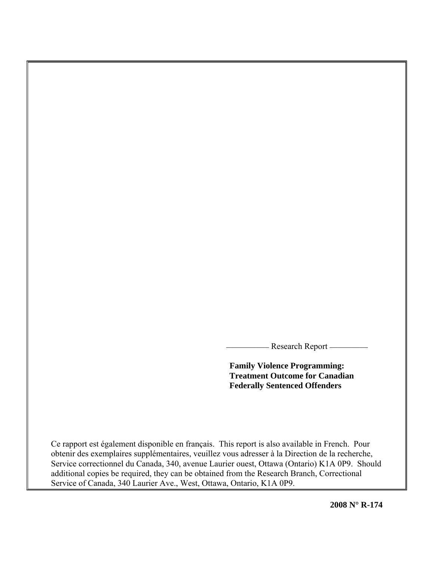- Research Report —

**Family Violence Programming: Treatment Outcome for Canadian Federally Sentenced Offenders** 

Ce rapport est également disponible en français. This report is also available in French. Pour obtenir des exemplaires supplémentaires, veuillez vous adresser à la Direction de la recherche, Service correctionnel du Canada, 340, avenue Laurier ouest, Ottawa (Ontario) K1A 0P9. Should additional copies be required, they can be obtained from the Research Branch, Correctional Service of Canada, 340 Laurier Ave., West, Ottawa, Ontario, K1A 0P9.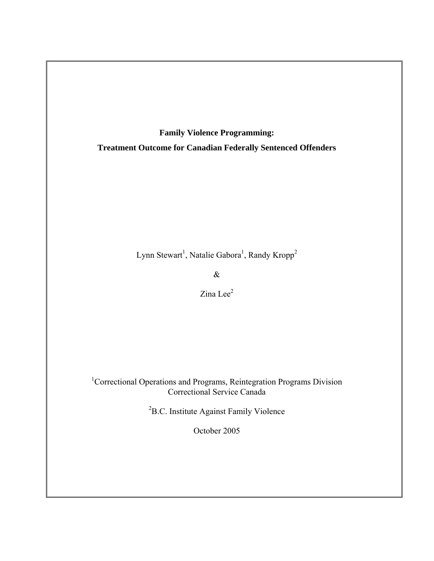**Family Violence Programming: Treatment Outcome for Canadian Federally Sentenced Offenders** 

Lynn Stewart<sup>1</sup>, Natalie Gabora<sup>1</sup>, Randy Kropp<sup>2</sup>

&

Zina Lee<sup>2</sup>

<sup>1</sup>Correctional Operations and Programs, Reintegration Programs Division Correctional Service Canada

<sup>2</sup>B.C. Institute Against Family Violence

October 2005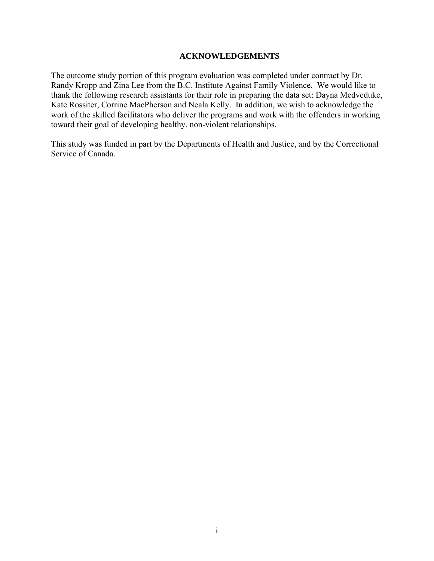### **ACKNOWLEDGEMENTS**

<span id="page-2-0"></span>The outcome study portion of this program evaluation was completed under contract by Dr. Randy Kropp and Zina Lee from the B.C. Institute Against Family Violence. We would like to thank the following research assistants for their role in preparing the data set: Dayna Medveduke, Kate Rossiter, Corrine MacPherson and Neala Kelly. In addition, we wish to acknowledge the work of the skilled facilitators who deliver the programs and work with the offenders in working toward their goal of developing healthy, non-violent relationships.

This study was funded in part by the Departments of Health and Justice, and by the Correctional Service of Canada.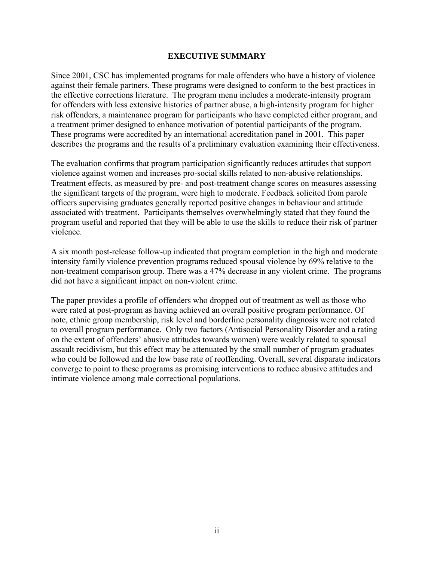## **EXECUTIVE SUMMARY**

<span id="page-3-0"></span>Since 2001, CSC has implemented programs for male offenders who have a history of violence against their female partners. These programs were designed to conform to the best practices in the effective corrections literature. The program menu includes a moderate-intensity program for offenders with less extensive histories of partner abuse, a high-intensity program for higher risk offenders, a maintenance program for participants who have completed either program, and a treatment primer designed to enhance motivation of potential participants of the program. These programs were accredited by an international accreditation panel in 2001. This paper describes the programs and the results of a preliminary evaluation examining their effectiveness.

The evaluation confirms that program participation significantly reduces attitudes that support violence against women and increases pro-social skills related to non-abusive relationships. Treatment effects, as measured by pre- and post-treatment change scores on measures assessing the significant targets of the program, were high to moderate. Feedback solicited from parole officers supervising graduates generally reported positive changes in behaviour and attitude associated with treatment. Participants themselves overwhelmingly stated that they found the program useful and reported that they will be able to use the skills to reduce their risk of partner violence.

A six month post-release follow-up indicated that program completion in the high and moderate intensity family violence prevention programs reduced spousal violence by 69% relative to the non-treatment comparison group. There was a 47% decrease in any violent crime. The programs did not have a significant impact on non-violent crime.

The paper provides a profile of offenders who dropped out of treatment as well as those who were rated at post-program as having achieved an overall positive program performance. Of note, ethnic group membership, risk level and borderline personality diagnosis were not related to overall program performance. Only two factors (Antisocial Personality Disorder and a rating on the extent of offenders' abusive attitudes towards women) were weakly related to spousal assault recidivism, but this effect may be attenuated by the small number of program graduates who could be followed and the low base rate of reoffending. Overall, several disparate indicators converge to point to these programs as promising interventions to reduce abusive attitudes and intimate violence among male correctional populations.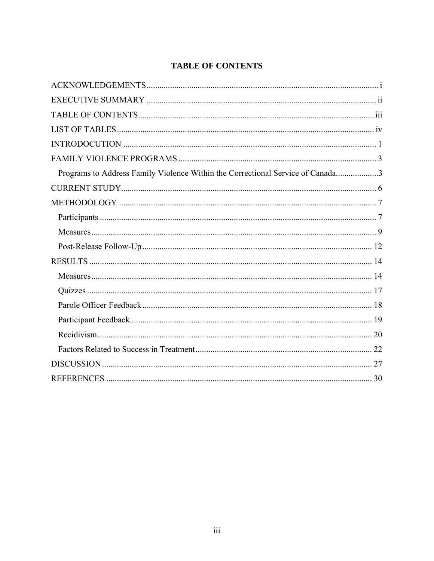## **TABLE OF CONTENTS**

<span id="page-4-0"></span>

| Programs to Address Family Violence Within the Correctional Service of Canada3 |  |
|--------------------------------------------------------------------------------|--|
|                                                                                |  |
|                                                                                |  |
|                                                                                |  |
|                                                                                |  |
|                                                                                |  |
|                                                                                |  |
|                                                                                |  |
|                                                                                |  |
|                                                                                |  |
|                                                                                |  |
|                                                                                |  |
|                                                                                |  |
|                                                                                |  |
|                                                                                |  |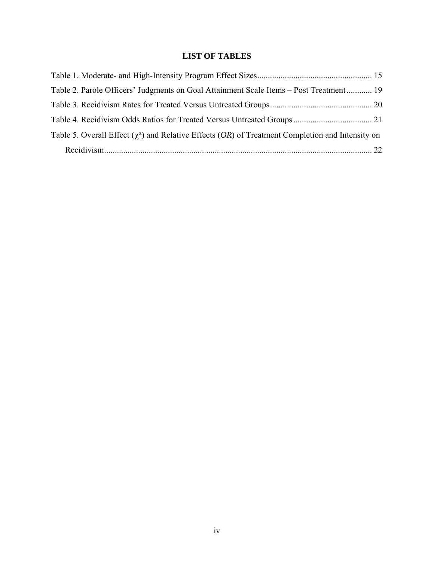## **LIST OF TABLES**

<span id="page-5-0"></span>

| Table 2. Parole Officers' Judgments on Goal Attainment Scale Items – Post Treatment 19                           |  |
|------------------------------------------------------------------------------------------------------------------|--|
|                                                                                                                  |  |
|                                                                                                                  |  |
| Table 5. Overall Effect ( $\chi^2$ ) and Relative Effects ( <i>OR</i> ) of Treatment Completion and Intensity on |  |
|                                                                                                                  |  |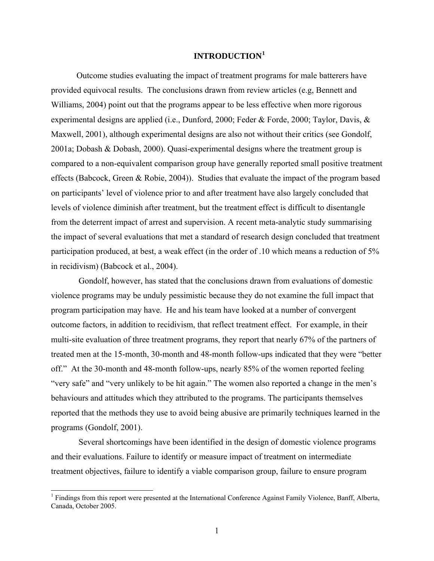## **INTRODUCTION[1](#page-6-1)**

<span id="page-6-0"></span>Outcome studies evaluating the impact of treatment programs for male batterers have provided equivocal results. The conclusions drawn from review articles (e.g, Bennett and Williams, 2004) point out that the programs appear to be less effective when more rigorous experimental designs are applied (i.e., Dunford, 2000; Feder & Forde, 2000; Taylor, Davis, & Maxwell, [2001\)](http://www.vaw.umn.edu/documents/vawnet/ar_bip/ar_bip.html#taylor2001), although experimental designs are also not without their critics (see Gondolf, 2001a; Dobash & Dobash, 2000). Quasi-experimental designs where the treatment group is compared to a non-equivalent comparison group have generally reported small positive treatment effects (Babcock, Green & Robie, 2004)). Studies that evaluate the impact of the program based on participants' level of violence prior to and after treatment have also largely concluded that levels of violence diminish after treatment, but the treatment effect is difficult to disentangle from the deterrent impact of arrest and supervision. A recent meta-analytic study summarising the impact of several evaluations that met a standard of research design concluded that treatment participation produced, at best, a weak effect (in the order of .10 which means a reduction of 5% in recidivism) (Babcock et al., 2004).

 Gondolf, however, has stated that the conclusions drawn from evaluations of domestic violence programs may be unduly pessimistic because they do not examine the full impact that program participation may have. He and his team have looked at a number of convergent outcome factors, in addition to recidivism, that reflect treatment effect. For example, in their multi-site evaluation of three treatment programs, they report that nearly 67% of the partners of treated men at the 15-month, 30-month and 48-month follow-ups indicated that they were "better off." At the 30-month and 48-month follow-ups, nearly 85% of the women reported feeling "very safe" and "very unlikely to be hit again." The women also reported a change in the men's behaviours and attitudes which they attributed to the programs. The participants themselves reported that the methods they use to avoid being abusive are primarily techniques learned in the programs (Gondolf, 2001).

 Several shortcomings have been identified in the design of domestic violence programs and their evaluations. Failure to identify or measure impact of treatment on intermediate treatment objectives, failure to identify a viable comparison group, failure to ensure program

 $\overline{a}$ 

<span id="page-6-1"></span><sup>&</sup>lt;sup>1</sup> Findings from this report were presented at the International Conference Against Family Violence, Banff, Alberta, Canada, October 2005.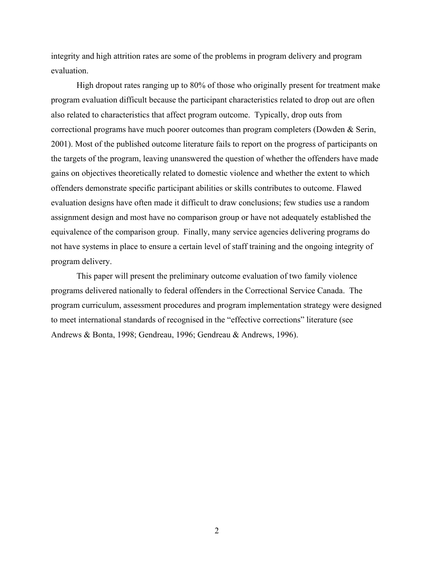integrity and high attrition rates are some of the problems in program delivery and program evaluation.

High dropout rates ranging up to 80% of those who originally present for treatment make program evaluation difficult because the participant characteristics related to drop out are often also related to characteristics that affect program outcome. Typically, drop outs from correctional programs have much poorer outcomes than program completers (Dowden & Serin, 2001). Most of the published outcome literature fails to report on the progress of participants on the targets of the program, leaving unanswered the question of whether the offenders have made gains on objectives theoretically related to domestic violence and whether the extent to which offenders demonstrate specific participant abilities or skills contributes to outcome. Flawed evaluation designs have often made it difficult to draw conclusions; few studies use a random assignment design and most have no comparison group or have not adequately established the equivalence of the comparison group. Finally, many service agencies delivering programs do not have systems in place to ensure a certain level of staff training and the ongoing integrity of program delivery.

This paper will present the preliminary outcome evaluation of two family violence programs delivered nationally to federal offenders in the Correctional Service Canada. The program curriculum, assessment procedures and program implementation strategy were designed to meet international standards of recognised in the "effective corrections" literature (see Andrews & Bonta, 1998; Gendreau, 1996; Gendreau & Andrews, 1996).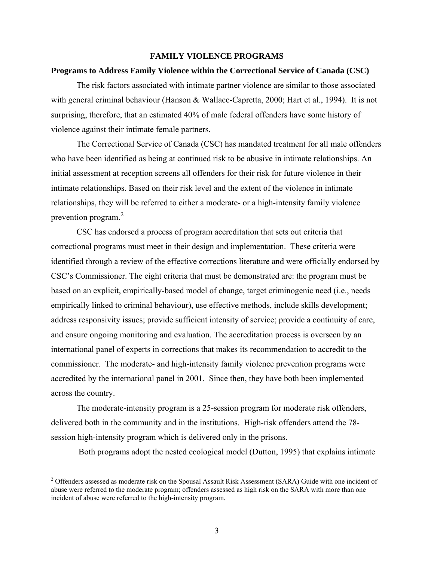## **FAMILY VIOLENCE PROGRAMS**

#### <span id="page-8-0"></span>**Programs to Address Family Violence within the Correctional Service of Canada (CSC)**

The risk factors associated with intimate partner violence are similar to those associated with general criminal behaviour (Hanson & Wallace-Capretta, 2000; Hart et al., 1994). It is not surprising, therefore, that an estimated 40% of male federal offenders have some history of violence against their intimate female partners.

The Correctional Service of Canada (CSC) has mandated treatment for all male offenders who have been identified as being at continued risk to be abusive in intimate relationships. An initial assessment at reception screens all offenders for their risk for future violence in their intimate relationships. Based on their risk level and the extent of the violence in intimate relationships, they will be referred to either a moderate- or a high-intensity family violence prevention program.<sup>[2](#page-8-1)</sup>

 CSC has endorsed a process of program accreditation that sets out criteria that correctional programs must meet in their design and implementation. These criteria were identified through a review of the effective corrections literature and were officially endorsed by CSC's Commissioner. The eight criteria that must be demonstrated are: the program must be based on an explicit, empirically-based model of change, target criminogenic need (i.e., needs empirically linked to criminal behaviour), use effective methods, include skills development; address responsivity issues; provide sufficient intensity of service; provide a continuity of care, and ensure ongoing monitoring and evaluation. The accreditation process is overseen by an international panel of experts in corrections that makes its recommendation to accredit to the commissioner. The moderate- and high-intensity family violence prevention programs were accredited by the international panel in 2001. Since then, they have both been implemented across the country.

The moderate-intensity program is a 25-session program for moderate risk offenders, delivered both in the community and in the institutions. High-risk offenders attend the 78 session high-intensity program which is delivered only in the prisons.

Both programs adopt the nested ecological model (Dutton, 1995) that explains intimate

 $\overline{a}$ 

<span id="page-8-1"></span><sup>&</sup>lt;sup>2</sup> Offenders assessed as moderate risk on the Spousal Assault Risk Assessment (SARA) Guide with one incident of abuse were referred to the moderate program; offenders assessed as high risk on the SARA with more than one incident of abuse were referred to the high-intensity program.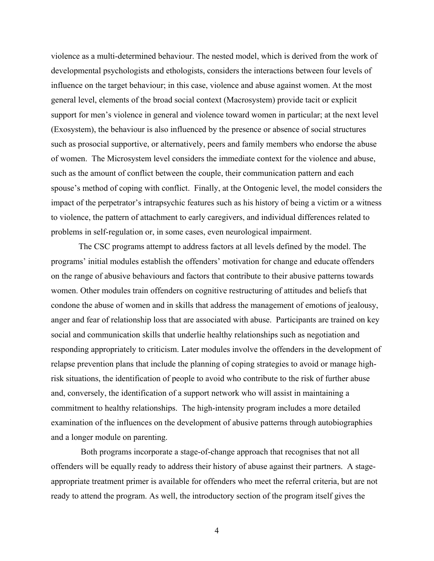violence as a multi-determined behaviour. The nested model, which is derived from the work of developmental psychologists and ethologists, considers the interactions between four levels of influence on the target behaviour; in this case, violence and abuse against women. At the most general level, elements of the broad social context (Macrosystem) provide tacit or explicit support for men's violence in general and violence toward women in particular; at the next level (Exosystem), the behaviour is also influenced by the presence or absence of social structures such as prosocial supportive, or alternatively, peers and family members who endorse the abuse of women. The Microsystem level considers the immediate context for the violence and abuse, such as the amount of conflict between the couple, their communication pattern and each spouse's method of coping with conflict. Finally, at the Ontogenic level, the model considers the impact of the perpetrator's intrapsychic features such as his history of being a victim or a witness to violence, the pattern of attachment to early caregivers, and individual differences related to problems in self-regulation or, in some cases, even neurological impairment.

 The CSC programs attempt to address factors at all levels defined by the model. The programs' initial modules establish the offenders' motivation for change and educate offenders on the range of abusive behaviours and factors that contribute to their abusive patterns towards women. Other modules train offenders on cognitive restructuring of attitudes and beliefs that condone the abuse of women and in skills that address the management of emotions of jealousy, anger and fear of relationship loss that are associated with abuse. Participants are trained on key social and communication skills that underlie healthy relationships such as negotiation and responding appropriately to criticism. Later modules involve the offenders in the development of relapse prevention plans that include the planning of coping strategies to avoid or manage highrisk situations, the identification of people to avoid who contribute to the risk of further abuse and, conversely, the identification of a support network who will assist in maintaining a commitment to healthy relationships. The high-intensity program includes a more detailed examination of the influences on the development of abusive patterns through autobiographies and a longer module on parenting.

 Both programs incorporate a stage-of-change approach that recognises that not all offenders will be equally ready to address their history of abuse against their partners. A stageappropriate treatment primer is available for offenders who meet the referral criteria, but are not ready to attend the program. As well, the introductory section of the program itself gives the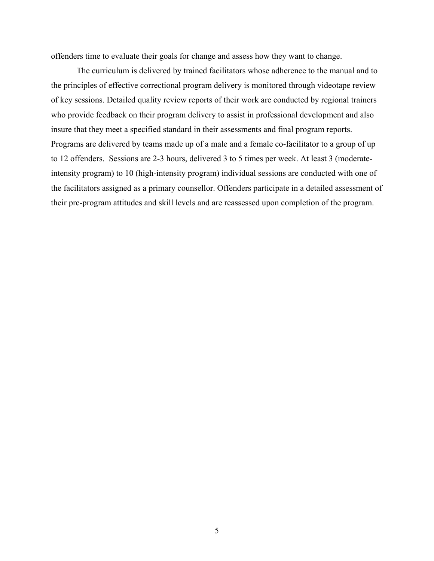offenders time to evaluate their goals for change and assess how they want to change.

The curriculum is delivered by trained facilitators whose adherence to the manual and to the principles of effective correctional program delivery is monitored through videotape review of key sessions. Detailed quality review reports of their work are conducted by regional trainers who provide feedback on their program delivery to assist in professional development and also insure that they meet a specified standard in their assessments and final program reports. Programs are delivered by teams made up of a male and a female co-facilitator to a group of up to 12 offenders. Sessions are 2-3 hours, delivered 3 to 5 times per week. At least 3 (moderateintensity program) to 10 (high-intensity program) individual sessions are conducted with one of the facilitators assigned as a primary counsellor. Offenders participate in a detailed assessment of their pre-program attitudes and skill levels and are reassessed upon completion of the program.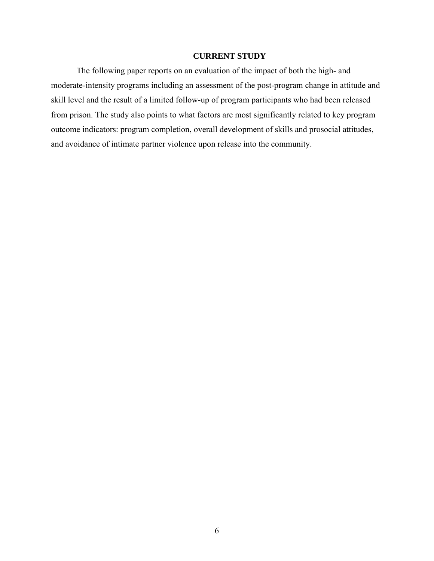## **CURRENT STUDY**

<span id="page-11-0"></span>The following paper reports on an evaluation of the impact of both the high- and moderate-intensity programs including an assessment of the post-program change in attitude and skill level and the result of a limited follow-up of program participants who had been released from prison. The study also points to what factors are most significantly related to key program outcome indicators: program completion, overall development of skills and prosocial attitudes, and avoidance of intimate partner violence upon release into the community.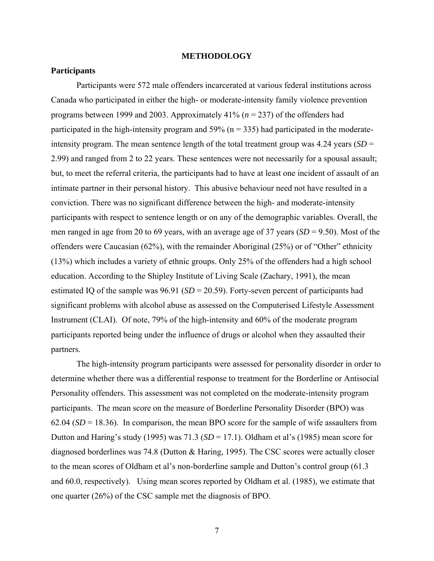#### **METHODOLOGY**

#### <span id="page-12-0"></span>**Participants**

Participants were 572 male offenders incarcerated at various federal institutions across Canada who participated in either the high- or moderate-intensity family violence prevention programs between 1999 and 2003. Approximately 41% (*n* = 237) of the offenders had participated in the high-intensity program and  $59\%$  (n = 335) had participated in the moderateintensity program. The mean sentence length of the total treatment group was 4.24 years (*SD* = 2.99) and ranged from 2 to 22 years. These sentences were not necessarily for a spousal assault; but, to meet the referral criteria, the participants had to have at least one incident of assault of an intimate partner in their personal history. This abusive behaviour need not have resulted in a conviction. There was no significant difference between the high- and moderate-intensity participants with respect to sentence length or on any of the demographic variables. Overall, the men ranged in age from 20 to 69 years, with an average age of 37 years (*SD* = 9.50). Most of the offenders were Caucasian (62%), with the remainder Aboriginal (25%) or of "Other" ethnicity (13%) which includes a variety of ethnic groups. Only 25% of the offenders had a high school education. According to the Shipley Institute of Living Scale (Zachary, 1991), the mean estimated IQ of the sample was 96.91 (*SD* = 20.59). Forty-seven percent of participants had significant problems with alcohol abuse as assessed on the Computerised Lifestyle Assessment Instrument (CLAI). Of note, 79% of the high-intensity and 60% of the moderate program participants reported being under the influence of drugs or alcohol when they assaulted their partners.

The high-intensity program participants were assessed for personality disorder in order to determine whether there was a differential response to treatment for the Borderline or Antisocial Personality offenders. This assessment was not completed on the moderate-intensity program participants. The mean score on the measure of Borderline Personality Disorder (BPO) was  $62.04$  ( $SD = 18.36$ ). In comparison, the mean BPO score for the sample of wife assaulters from Dutton and Haring's study (1995) was 71.3 (*SD* = 17.1). Oldham et al's (1985) mean score for diagnosed borderlines was 74.8 (Dutton & Haring, 1995). The CSC scores were actually closer to the mean scores of Oldham et al's non-borderline sample and Dutton's control group (61.3 and 60.0, respectively). Using mean scores reported by Oldham et al. (1985), we estimate that one quarter (26%) of the CSC sample met the diagnosis of BPO.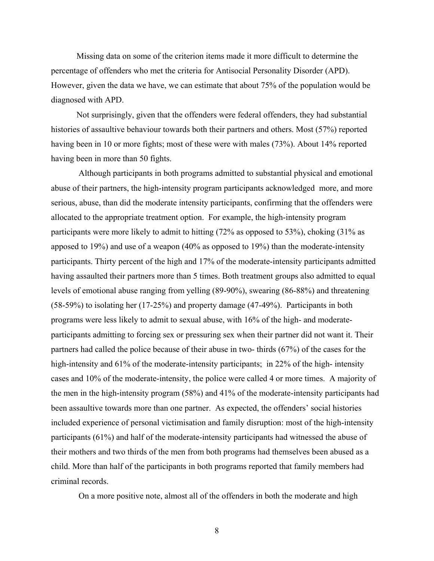Missing data on some of the criterion items made it more difficult to determine the percentage of offenders who met the criteria for Antisocial Personality Disorder (APD). However, given the data we have, we can estimate that about 75% of the population would be diagnosed with APD.

Not surprisingly, given that the offenders were federal offenders, they had substantial histories of assaultive behaviour towards both their partners and others. Most (57%) reported having been in 10 or more fights; most of these were with males (73%). About 14% reported having been in more than 50 fights.

 Although participants in both programs admitted to substantial physical and emotional abuse of their partners, the high-intensity program participants acknowledged more, and more serious, abuse, than did the moderate intensity participants, confirming that the offenders were allocated to the appropriate treatment option. For example, the high-intensity program participants were more likely to admit to hitting (72% as opposed to 53%), choking (31% as apposed to 19%) and use of a weapon (40% as opposed to 19%) than the moderate-intensity participants. Thirty percent of the high and 17% of the moderate-intensity participants admitted having assaulted their partners more than 5 times. Both treatment groups also admitted to equal levels of emotional abuse ranging from yelling (89-90%), swearing (86-88%) and threatening (58-59%) to isolating her (17-25%) and property damage (47-49%). Participants in both programs were less likely to admit to sexual abuse, with 16% of the high- and moderateparticipants admitting to forcing sex or pressuring sex when their partner did not want it. Their partners had called the police because of their abuse in two- thirds (67%) of the cases for the high-intensity and 61% of the moderate-intensity participants; in 22% of the high-intensity cases and 10% of the moderate-intensity, the police were called 4 or more times. A majority of the men in the high-intensity program (58%) and 41% of the moderate-intensity participants had been assaultive towards more than one partner. As expected, the offenders' social histories included experience of personal victimisation and family disruption: most of the high-intensity participants (61%) and half of the moderate-intensity participants had witnessed the abuse of their mothers and two thirds of the men from both programs had themselves been abused as a child. More than half of the participants in both programs reported that family members had criminal records.

On a more positive note, almost all of the offenders in both the moderate and high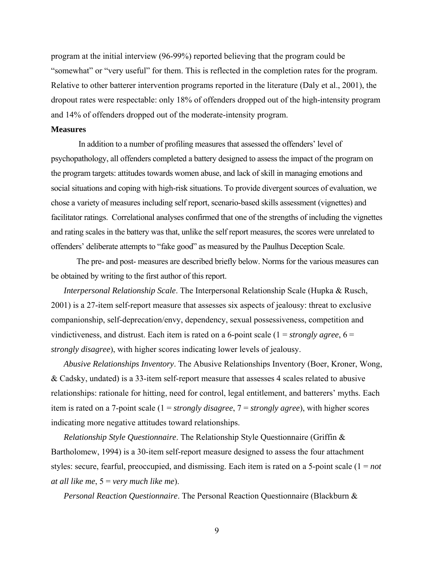<span id="page-14-0"></span>program at the initial interview (96-99%) reported believing that the program could be "somewhat" or "very useful" for them. This is reflected in the completion rates for the program. Relative to other batterer intervention programs reported in the literature (Daly et al., 2001), the dropout rates were respectable: only 18% of offenders dropped out of the high-intensity program and 14% of offenders dropped out of the moderate-intensity program.

#### **Measures**

 In addition to a number of profiling measures that assessed the offenders' level of psychopathology, all offenders completed a battery designed to assess the impact of the program on the program targets: attitudes towards women abuse, and lack of skill in managing emotions and social situations and coping with high-risk situations. To provide divergent sources of evaluation, we chose a variety of measures including self report, scenario-based skills assessment (vignettes) and facilitator ratings. Correlational analyses confirmed that one of the strengths of including the vignettes and rating scales in the battery was that, unlike the self report measures, the scores were unrelated to offenders' deliberate attempts to "fake good" as measured by the Paulhus Deception Scale.

The pre- and post- measures are described briefly below. Norms for the various measures can be obtained by writing to the first author of this report.

*Interpersonal Relationship Scale*. The Interpersonal Relationship Scale (Hupka & Rusch, 2001) is a 27-item self-report measure that assesses six aspects of jealousy: threat to exclusive companionship, self-deprecation/envy, dependency, sexual possessiveness, competition and vindictiveness, and distrust. Each item is rated on a 6-point scale  $(1 = strongly \ agree, 6 =$ *strongly disagree*), with higher scores indicating lower levels of jealousy.

*Abusive Relationships Inventory*. The Abusive Relationships Inventory (Boer, Kroner, Wong, & Cadsky, undated) is a 33-item self-report measure that assesses 4 scales related to abusive relationships: rationale for hitting, need for control, legal entitlement, and batterers' myths. Each item is rated on a 7-point scale (1 = *strongly disagree*, 7 = *strongly agree*), with higher scores indicating more negative attitudes toward relationships.

*Relationship Style Questionnaire*. The Relationship Style Questionnaire (Griffin & Bartholomew, 1994) is a 30-item self-report measure designed to assess the four attachment styles: secure, fearful, preoccupied, and dismissing. Each item is rated on a 5-point scale (1 = *not at all like me*, 5 = *very much like me*).

*Personal Reaction Questionnaire*. The Personal Reaction Questionnaire (Blackburn &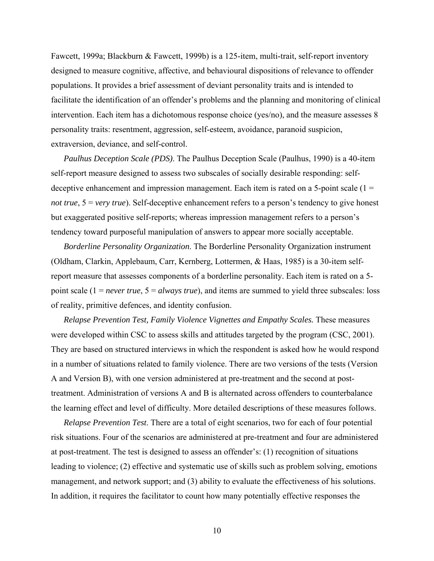Fawcett, 1999a; Blackburn & Fawcett, 1999b) is a 125-item, multi-trait, self-report inventory designed to measure cognitive, affective, and behavioural dispositions of relevance to offender populations. It provides a brief assessment of deviant personality traits and is intended to facilitate the identification of an offender's problems and the planning and monitoring of clinical intervention. Each item has a dichotomous response choice (yes/no), and the measure assesses 8 personality traits: resentment, aggression, self-esteem, avoidance, paranoid suspicion, extraversion, deviance, and self-control.

*Paulhus Deception Scale (PDS)*. The Paulhus Deception Scale (Paulhus, 1990) is a 40-item self-report measure designed to assess two subscales of socially desirable responding: selfdeceptive enhancement and impression management. Each item is rated on a 5-point scale  $(1 =$ *not true*,  $5 = \text{very true}$ . Self-deceptive enhancement refers to a person's tendency to give honest but exaggerated positive self-reports; whereas impression management refers to a person's tendency toward purposeful manipulation of answers to appear more socially acceptable.

*Borderline Personality Organization*. The Borderline Personality Organization instrument (Oldham, Clarkin, Applebaum, Carr, Kernberg, Lottermen, & Haas, 1985) is a 30-item selfreport measure that assesses components of a borderline personality. Each item is rated on a 5 point scale (1 = *never true*, 5 = *always true*), and items are summed to yield three subscales: loss of reality, primitive defences, and identity confusion.

*Relapse Prevention Test, Family Violence Vignettes and Empathy Scales.* These measures were developed within CSC to assess skills and attitudes targeted by the program (CSC, 2001). They are based on structured interviews in which the respondent is asked how he would respond in a number of situations related to family violence. There are two versions of the tests (Version A and Version B), with one version administered at pre-treatment and the second at posttreatment. Administration of versions A and B is alternated across offenders to counterbalance the learning effect and level of difficulty. More detailed descriptions of these measures follows.

*Relapse Prevention Test*. There are a total of eight scenarios, two for each of four potential risk situations. Four of the scenarios are administered at pre-treatment and four are administered at post-treatment. The test is designed to assess an offender's: (1) recognition of situations leading to violence; (2) effective and systematic use of skills such as problem solving, emotions management, and network support; and (3) ability to evaluate the effectiveness of his solutions. In addition, it requires the facilitator to count how many potentially effective responses the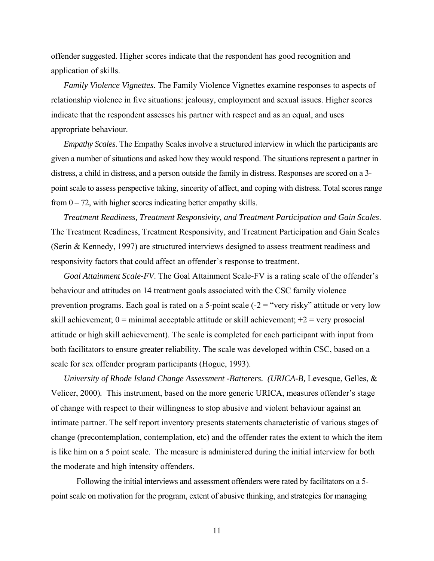offender suggested. Higher scores indicate that the respondent has good recognition and application of skills.

*Family Violence Vignettes*. The Family Violence Vignettes examine responses to aspects of relationship violence in five situations: jealousy, employment and sexual issues. Higher scores indicate that the respondent assesses his partner with respect and as an equal, and uses appropriate behaviour.

*Empathy Scales*. The Empathy Scales involve a structured interview in which the participants are given a number of situations and asked how they would respond. The situations represent a partner in distress, a child in distress, and a person outside the family in distress. Responses are scored on a 3 point scale to assess perspective taking, sincerity of affect, and coping with distress. Total scores range from  $0 - 72$ , with higher scores indicating better empathy skills.

*Treatment Readiness, Treatment Responsivity, and Treatment Participation and Gain Scales*. The Treatment Readiness, Treatment Responsivity, and Treatment Participation and Gain Scales (Serin & Kennedy, 1997) are structured interviews designed to assess treatment readiness and responsivity factors that could affect an offender's response to treatment.

*Goal Attainment Scale-FV*. The Goal Attainment Scale-FV is a rating scale of the offender's behaviour and attitudes on 14 treatment goals associated with the CSC family violence prevention programs. Each goal is rated on a 5-point scale  $(-2 = "very risky"$  attitude or very low skill achievement;  $0 =$  minimal acceptable attitude or skill achievement;  $+2 =$  very prosocial attitude or high skill achievement). The scale is completed for each participant with input from both facilitators to ensure greater reliability. The scale was developed within CSC, based on a scale for sex offender program participants (Hogue, 1993).

*University of Rhode Island Change Assessment -Batterers. (URICA-B,* Levesque, Gelles, & Velicer, 2000)*.* This instrument, based on the more generic URICA, measures offender's stage of change with respect to their willingness to stop abusive and violent behaviour against an intimate partner. The self report inventory presents statements characteristic of various stages of change (precontemplation, contemplation, etc) and the offender rates the extent to which the item is like him on a 5 point scale. The measure is administered during the initial interview for both the moderate and high intensity offenders.

Following the initial interviews and assessment offenders were rated by facilitators on a 5 point scale on motivation for the program, extent of abusive thinking, and strategies for managing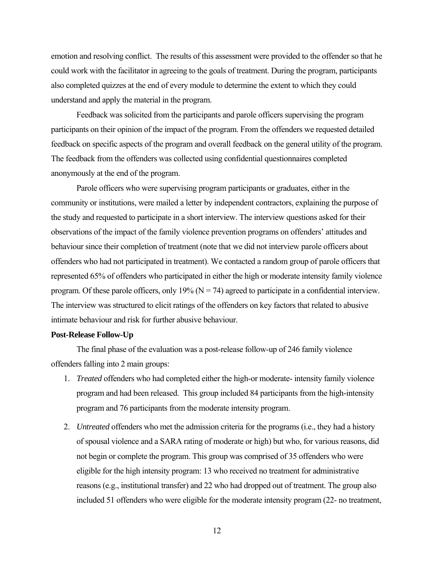<span id="page-17-0"></span>emotion and resolving conflict. The results of this assessment were provided to the offender so that he could work with the facilitator in agreeing to the goals of treatment. During the program, participants also completed quizzes at the end of every module to determine the extent to which they could understand and apply the material in the program.

 Feedback was solicited from the participants and parole officers supervising the program participants on their opinion of the impact of the program. From the offenders we requested detailed feedback on specific aspects of the program and overall feedback on the general utility of the program. The feedback from the offenders was collected using confidential questionnaires completed anonymously at the end of the program.

 Parole officers who were supervising program participants or graduates, either in the community or institutions, were mailed a letter by independent contractors, explaining the purpose of the study and requested to participate in a short interview. The interview questions asked for their observations of the impact of the family violence prevention programs on offenders' attitudes and behaviour since their completion of treatment (note that we did not interview parole officers about offenders who had not participated in treatment). We contacted a random group of parole officers that represented 65% of offenders who participated in either the high or moderate intensity family violence program. Of these parole officers, only 19% ( $N = 74$ ) agreed to participate in a confidential interview. The interview was structured to elicit ratings of the offenders on key factors that related to abusive intimate behaviour and risk for further abusive behaviour.

#### **Post-Release Follow-Up**

 The final phase of the evaluation was a post-release follow-up of 246 family violence offenders falling into 2 main groups:

- 1. *Treated* offenders who had completed either the high-or moderate- intensity family violence program and had been released. This group included 84 participants from the high-intensity program and 76 participants from the moderate intensity program.
- 2. *Untreated* offenders who met the admission criteria for the programs (i.e., they had a history of spousal violence and a SARA rating of moderate or high) but who, for various reasons, did not begin or complete the program. This group was comprised of 35 offenders who were eligible for the high intensity program: 13 who received no treatment for administrative reasons (e.g., institutional transfer) and 22 who had dropped out of treatment. The group also included 51 offenders who were eligible for the moderate intensity program (22- no treatment,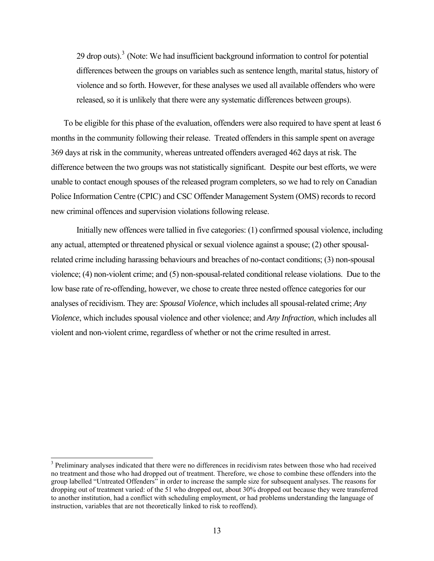29 drop outs). $3$  (Note: We had insufficient background information to control for potential differences between the groups on variables such as sentence length, marital status, history of violence and so forth. However, for these analyses we used all available offenders who were released, so it is unlikely that there were any systematic differences between groups).

To be eligible for this phase of the evaluation, offenders were also required to have spent at least 6 months in the community following their release. Treated offenders in this sample spent on average 369 days at risk in the community, whereas untreated offenders averaged 462 days at risk. The difference between the two groups was not statistically significant. Despite our best efforts, we were unable to contact enough spouses of the released program completers, so we had to rely on Canadian Police Information Centre (CPIC) and CSC Offender Management System (OMS) records to record new criminal offences and supervision violations following release.

Initially new offences were tallied in five categories: (1) confirmed spousal violence, including any actual, attempted or threatened physical or sexual violence against a spouse; (2) other spousalrelated crime including harassing behaviours and breaches of no-contact conditions; (3) non-spousal violence; (4) non-violent crime; and (5) non-spousal-related conditional release violations. Due to the low base rate of re-offending, however, we chose to create three nested offence categories for our analyses of recidivism. They are: *Spousal Violence*, which includes all spousal-related crime; *Any Violence*, which includes spousal violence and other violence; and *Any Infraction*, which includes all violent and non-violent crime, regardless of whether or not the crime resulted in arrest.

l

<span id="page-18-0"></span><sup>&</sup>lt;sup>3</sup> Preliminary analyses indicated that there were no differences in recidivism rates between those who had received no treatment and those who had dropped out of treatment. Therefore, we chose to combine these offenders into the group labelled "Untreated Offenders" in order to increase the sample size for subsequent analyses. The reasons for dropping out of treatment varied: of the 51 who dropped out, about 30% dropped out because they were transferred to another institution, had a conflict with scheduling employment, or had problems understanding the language of instruction, variables that are not theoretically linked to risk to reoffend).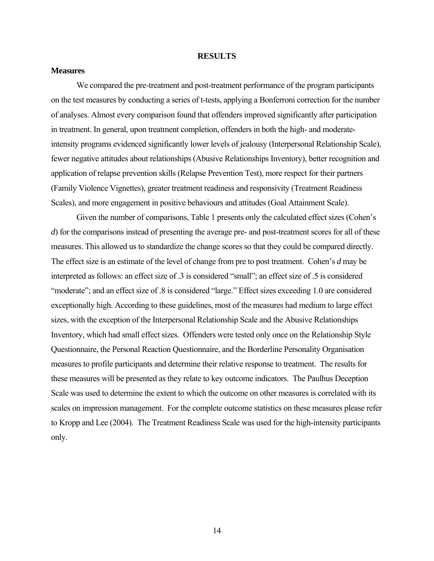#### **RESULTS**

#### <span id="page-19-0"></span>**Measures**

We compared the pre-treatment and post-treatment performance of the program participants on the test measures by conducting a series of t-tests, applying a Bonferroni correction for the number of analyses. Almost every comparison found that offenders improved significantly after participation in treatment. In general, upon treatment completion, offenders in both the high- and moderateintensity programs evidenced significantly lower levels of jealousy (Interpersonal Relationship Scale), fewer negative attitudes about relationships (Abusive Relationships Inventory), better recognition and application of relapse prevention skills (Relapse Prevention Test), more respect for their partners (Family Violence Vignettes), greater treatment readiness and responsivity (Treatment Readiness Scales), and more engagement in positive behaviours and attitudes (Goal Attainment Scale).

Given the number of comparisons, Table 1 presents only the calculated effect sizes (Cohen's *d*) for the comparisons instead of presenting the average pre- and post-treatment scores for all of these measures. This allowed us to standardize the change scores so that they could be compared directly. The effect size is an estimate of the level of change from pre to post treatment. Cohen's *d* may be interpreted as follows: an effect size of .3 is considered "small"; an effect size of .5 is considered "moderate"; and an effect size of  $.8$  is considered "large." Effect sizes exceeding 1.0 are considered exceptionally high. According to these guidelines, most of the measures had medium to large effect sizes, with the exception of the Interpersonal Relationship Scale and the Abusive Relationships Inventory, which had small effect sizes. Offenders were tested only once on the Relationship Style Questionnaire, the Personal Reaction Questionnaire, and the Borderline Personality Organisation measures to profile participants and determine their relative response to treatment. The results for these measures will be presented as they relate to key outcome indicators. The Paulhus Deception Scale was used to determine the extent to which the outcome on other measures is correlated with its scales on impression management. For the complete outcome statistics on these measures please refer to Kropp and Lee (2004). The Treatment Readiness Scale was used for the high-intensity participants only.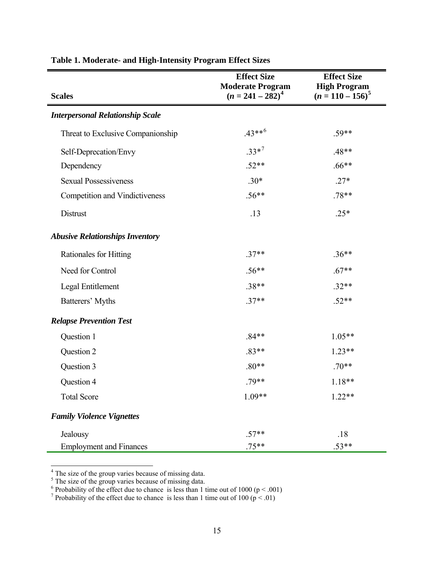|                                         | <b>Effect Size</b><br><b>Moderate Program</b> | <b>Effect Size</b><br><b>High Program</b> |
|-----------------------------------------|-----------------------------------------------|-------------------------------------------|
| <b>Scales</b>                           | $(n = 241 - 282)^4$                           | $(n = 110 - 156)^5$                       |
| <b>Interpersonal Relationship Scale</b> |                                               |                                           |
| Threat to Exclusive Companionship       | $.43***^{6}$                                  | $.59**$                                   |
| Self-Deprecation/Envy                   | $.33*7$                                       | $.48**$                                   |
| Dependency                              | $.52**$                                       | $.66**$                                   |
| <b>Sexual Possessiveness</b>            | $.30*$                                        | $.27*$                                    |
| <b>Competition and Vindictiveness</b>   | $.56**$                                       | $.78**$                                   |
| Distrust                                | .13                                           | $.25*$                                    |
| <b>Abusive Relationships Inventory</b>  |                                               |                                           |
| Rationales for Hitting                  | $.37**$                                       | $.36**$                                   |
| Need for Control                        | $.56**$                                       | $.67**$                                   |
| Legal Entitlement                       | $.38**$                                       | $.32**$                                   |
| Batterers' Myths                        | $.37**$                                       | $.52**$                                   |
| <b>Relapse Prevention Test</b>          |                                               |                                           |
| Question 1                              | $.84**$                                       | $1.05**$                                  |
| Question 2                              | $.83**$                                       | $1.23**$                                  |
| Question 3                              | $.80**$                                       | $.70**$                                   |
| Question 4                              | $.79**$                                       | $1.18**$                                  |
| <b>Total Score</b>                      | $1.09**$                                      | $1.22**$                                  |
| <b>Family Violence Vignettes</b>        |                                               |                                           |
| Jealousy                                | $.57**$                                       | .18                                       |
| <b>Employment and Finances</b>          | $.75**$                                       | $.53**$                                   |

# <span id="page-20-0"></span>**Table 1. Moderate- and High-Intensity Program Effect Sizes**

<span id="page-20-1"></span>

<span id="page-20-2"></span>

<span id="page-20-4"></span><span id="page-20-3"></span>

<sup>&</sup>lt;sup>4</sup> The size of the group varies because of missing data.<br><sup>5</sup> The size of the group varies because of missing data.<br><sup>6</sup> Probability of the effect due to chance is less than 1 time out of 1000 (p < .001)<br><sup>7</sup> Probability of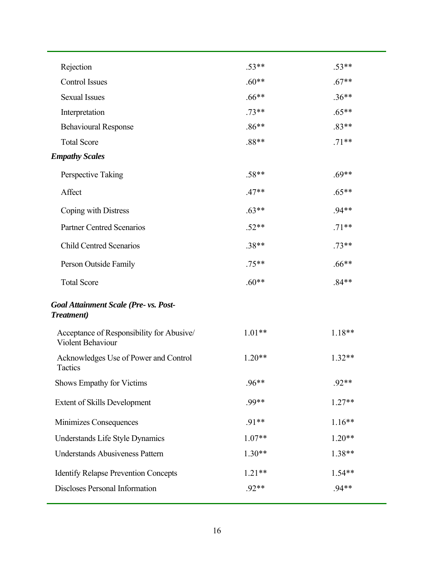| Rejection                                                      | $.53**$  | $.53**$  |
|----------------------------------------------------------------|----------|----------|
| <b>Control Issues</b>                                          | $.60**$  | $.67**$  |
| <b>Sexual Issues</b>                                           | $.66**$  | $.36**$  |
| Interpretation                                                 | $.73**$  | $.65**$  |
| <b>Behavioural Response</b>                                    | $.86**$  | $.83**$  |
| <b>Total Score</b>                                             | .88**    | $.71**$  |
| <b>Empathy Scales</b>                                          |          |          |
| Perspective Taking                                             | $.58**$  | $.69**$  |
| Affect                                                         | $.47**$  | $.65**$  |
| Coping with Distress                                           | $.63**$  | $.94**$  |
| <b>Partner Centred Scenarios</b>                               | $.52**$  | $.71**$  |
| <b>Child Centred Scenarios</b>                                 | $.38**$  | $.73**$  |
| Person Outside Family                                          | $.75**$  | $.66**$  |
| <b>Total Score</b>                                             | $.60**$  | $.84**$  |
| Goal Attainment Scale (Pre- vs. Post-<br><b>Treatment</b> )    |          |          |
| Acceptance of Responsibility for Abusive/<br>Violent Behaviour | $1.01**$ | $1.18**$ |
| Acknowledges Use of Power and Control<br>Tactics               | $1.20**$ | $1.32**$ |
| <b>Shows Empathy for Victims</b>                               | $.96**$  | $.92**$  |
| <b>Extent of Skills Development</b>                            | .99**    | $1.27**$ |
| Minimizes Consequences                                         | $.91**$  | $1.16**$ |
| Understands Life Style Dynamics                                | $1.07**$ | $1.20**$ |
| <b>Understands Abusiveness Pattern</b>                         | $1.30**$ | 1.38**   |
| <b>Identify Relapse Prevention Concepts</b>                    | $1.21**$ | $1.54**$ |
| Discloses Personal Information                                 | .92**    | $.94**$  |
|                                                                |          |          |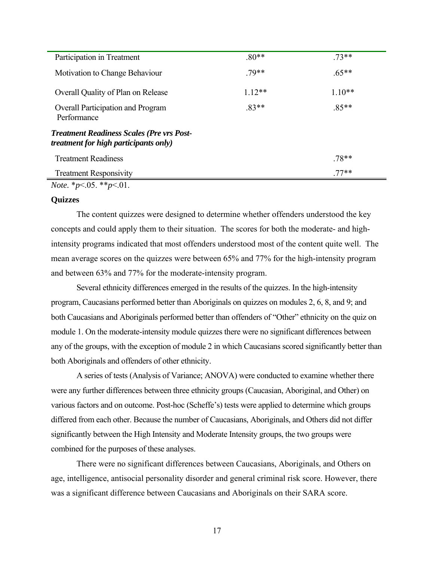<span id="page-22-0"></span>

| Participation in Treatment                                                                       | $.80**$ | $73**$   |
|--------------------------------------------------------------------------------------------------|---------|----------|
| Motivation to Change Behaviour                                                                   | 79**    | $.65**$  |
| Overall Quality of Plan on Release                                                               | $112**$ | $1.10**$ |
| <b>Overall Participation and Program</b><br>Performance                                          | $83**$  | $.85**$  |
| <b>Treatment Readiness Scales (Pre vrs Post-</b><br><i>treatment for high participants only)</i> |         |          |
| <b>Treatment Readiness</b>                                                                       |         | $.78**$  |
| <b>Treatment Responsivity</b>                                                                    |         | $.77**$  |
| <i>Note.</i> * $p < 0.05$ . ** $p < 0.01$ .                                                      |         |          |

#### **Quizzes**

 The content quizzes were designed to determine whether offenders understood the key concepts and could apply them to their situation. The scores for both the moderate- and highintensity programs indicated that most offenders understood most of the content quite well. The mean average scores on the quizzes were between 65% and 77% for the high-intensity program and between 63% and 77% for the moderate-intensity program.

 Several ethnicity differences emerged in the results of the quizzes. In the high-intensity program, Caucasians performed better than Aboriginals on quizzes on modules 2, 6, 8, and 9; and both Caucasians and Aboriginals performed better than offenders of "Other" ethnicity on the quiz on module 1. On the moderate-intensity module quizzes there were no significant differences between any of the groups, with the exception of module 2 in which Caucasians scored significantly better than both Aboriginals and offenders of other ethnicity.

 A series of tests (Analysis of Variance; ANOVA) were conducted to examine whether there were any further differences between three ethnicity groups (Caucasian, Aboriginal, and Other) on various factors and on outcome. Post-hoc (Scheffe's) tests were applied to determine which groups differed from each other. Because the number of Caucasians, Aboriginals, and Others did not differ significantly between the High Intensity and Moderate Intensity groups, the two groups were combined for the purposes of these analyses.

 There were no significant differences between Caucasians, Aboriginals, and Others on age, intelligence, antisocial personality disorder and general criminal risk score. However, there was a significant difference between Caucasians and Aboriginals on their SARA score.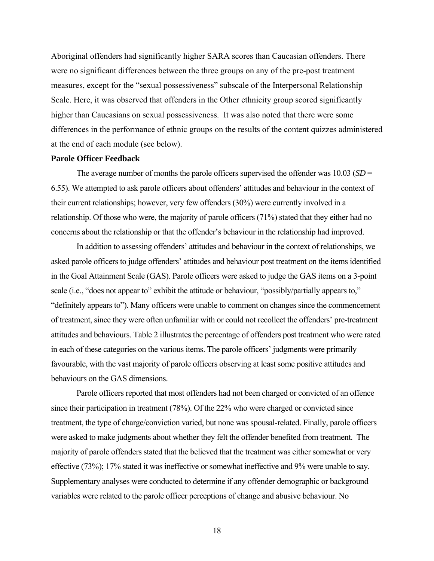<span id="page-23-0"></span>Aboriginal offenders had significantly higher SARA scores than Caucasian offenders. There were no significant differences between the three groups on any of the pre-post treatment measures, except for the "sexual possessiveness" subscale of the Interpersonal Relationship Scale. Here, it was observed that offenders in the Other ethnicity group scored significantly higher than Caucasians on sexual possessiveness. It was also noted that there were some differences in the performance of ethnic groups on the results of the content quizzes administered at the end of each module (see below).

#### **Parole Officer Feedback**

The average number of months the parole officers supervised the offender was 10.03 (*SD* = 6.55). We attempted to ask parole officers about offenders' attitudes and behaviour in the context of their current relationships; however, very few offenders (30%) were currently involved in a relationship. Of those who were, the majority of parole officers (71%) stated that they either had no concerns about the relationship or that the offender's behaviour in the relationship had improved.

In addition to assessing offenders' attitudes and behaviour in the context of relationships, we asked parole officers to judge offenders' attitudes and behaviour post treatment on the items identified in the Goal Attainment Scale (GAS). Parole officers were asked to judge the GAS items on a 3-point scale (i.e., "does not appear to" exhibit the attitude or behaviour, "possibly/partially appears to," "definitely appears to"). Many officers were unable to comment on changes since the commencement of treatment, since they were often unfamiliar with or could not recollect the offenders' pre-treatment attitudes and behaviours. Table 2 illustrates the percentage of offenders post treatment who were rated in each of these categories on the various items. The parole officers' judgments were primarily favourable, with the vast majority of parole officers observing at least some positive attitudes and behaviours on the GAS dimensions.

Parole officers reported that most offenders had not been charged or convicted of an offence since their participation in treatment (78%). Of the 22% who were charged or convicted since treatment, the type of charge/conviction varied, but none was spousal-related. Finally, parole officers were asked to make judgments about whether they felt the offender benefited from treatment. The majority of parole offenders stated that the believed that the treatment was either somewhat or very effective (73%); 17% stated it was ineffective or somewhat ineffective and 9% were unable to say. Supplementary analyses were conducted to determine if any offender demographic or background variables were related to the parole officer perceptions of change and abusive behaviour. No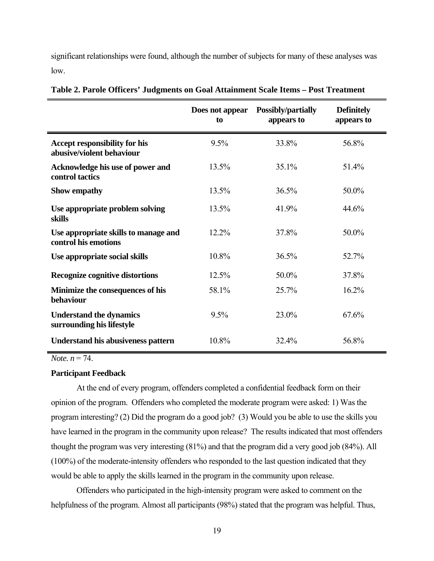<span id="page-24-0"></span>significant relationships were found, although the number of subjects for many of these analyses was low.

|                                                                   | Does not appear<br>to | <b>Possibly/partially</b><br>appears to | <b>Definitely</b><br>appears to |
|-------------------------------------------------------------------|-----------------------|-----------------------------------------|---------------------------------|
| <b>Accept responsibility for his</b><br>abusive/violent behaviour | 9.5%                  | 33.8%                                   | 56.8%                           |
| Acknowledge his use of power and<br>control tactics               | 13.5%                 | 35.1%                                   | 51.4%                           |
| <b>Show empathy</b>                                               | 13.5%                 | 36.5%                                   | 50.0%                           |
| Use appropriate problem solving<br>skills                         | 13.5%                 | 41.9%                                   | 44.6%                           |
| Use appropriate skills to manage and<br>control his emotions      | 12.2%                 | 37.8%                                   | 50.0%                           |
| Use appropriate social skills                                     | 10.8%                 | 36.5%                                   | 52.7%                           |
| Recognize cognitive distortions                                   | 12.5%                 | 50.0%                                   | 37.8%                           |
| Minimize the consequences of his<br>behaviour                     | 58.1%                 | 25.7%                                   | 16.2%                           |
| <b>Understand the dynamics</b><br>surrounding his lifestyle       | 9.5%                  | 23.0%                                   | 67.6%                           |
| <b>Understand his abusiveness pattern</b>                         | 10.8%                 | 32.4%                                   | 56.8%                           |

**Table 2. Parole Officers' Judgments on Goal Attainment Scale Items – Post Treatment** 

*Note. n* = 74.

#### **Participant Feedback**

At the end of every program, offenders completed a confidential feedback form on their opinion of the program. Offenders who completed the moderate program were asked: 1) Was the program interesting? (2) Did the program do a good job? (3) Would you be able to use the skills you have learned in the program in the community upon release? The results indicated that most offenders thought the program was very interesting (81%) and that the program did a very good job (84%). All (100%) of the moderate-intensity offenders who responded to the last question indicated that they would be able to apply the skills learned in the program in the community upon release.

Offenders who participated in the high-intensity program were asked to comment on the helpfulness of the program. Almost all participants (98%) stated that the program was helpful. Thus,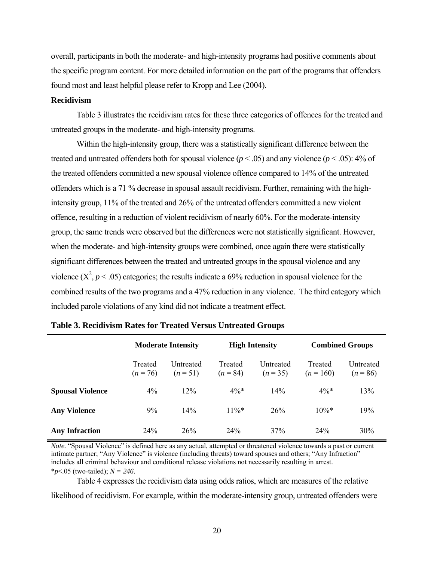<span id="page-25-0"></span>overall, participants in both the moderate- and high-intensity programs had positive comments about the specific program content. For more detailed information on the part of the programs that offenders found most and least helpful please refer to Kropp and Lee (2004).

#### **Recidivism**

Table 3 illustrates the recidivism rates for these three categories of offences for the treated and untreated groups in the moderate- and high-intensity programs.

Within the high-intensity group, there was a statistically significant difference between the treated and untreated offenders both for spousal violence ( $p < .05$ ) and any violence ( $p < .05$ ): 4% of the treated offenders committed a new spousal violence offence compared to 14% of the untreated offenders which is a 71 % decrease in spousal assault recidivism. Further, remaining with the highintensity group, 11% of the treated and 26% of the untreated offenders committed a new violent offence, resulting in a reduction of violent recidivism of nearly 60%. For the moderate-intensity group, the same trends were observed but the differences were not statistically significant. However, when the moderate- and high-intensity groups were combined, once again there were statistically significant differences between the treated and untreated groups in the spousal violence and any violence  $(X^2, p < .05)$  categories; the results indicate a 69% reduction in spousal violence for the combined results of the two programs and a 47% reduction in any violence. The third category which included parole violations of any kind did not indicate a treatment effect.

|                         | <b>Moderate Intensity</b> |                       | <b>High Intensity</b> |                       | <b>Combined Groups</b> |                         |
|-------------------------|---------------------------|-----------------------|-----------------------|-----------------------|------------------------|-------------------------|
|                         | Treated<br>$(n = 76)$     | Untreated<br>$(n=51)$ | Treated<br>$(n = 84)$ | Untreated<br>$(n=35)$ | Treated<br>$(n = 160)$ | Untreated<br>$(n = 86)$ |
| <b>Spousal Violence</b> | 4%                        | 12%                   | $4\%*$                | 14%                   | $4\%*$                 | 13%                     |
| <b>Any Violence</b>     | 9%                        | 14%                   | $11\%*$               | 26%                   | $10\%*$                | 19%                     |
| <b>Any Infraction</b>   | 24%                       | 26%                   | 24%                   | 37%                   | 24%                    | 30%                     |

**Table 3. Recidivism Rates for Treated Versus Untreated Groups** 

*Note.* "Spousal Violence" is defined here as any actual, attempted or threatened violence towards a past or current intimate partner; "Any Violence" is violence (including threats) toward spouses and others; "Any Infraction" includes all criminal behaviour and conditional release violations not necessarily resulting in arrest. \**p*<.05 (two-tailed); *N = 246*.

Table 4 expresses the recidivism data using odds ratios, which are measures of the relative likelihood of recidivism. For example, within the moderate-intensity group, untreated offenders were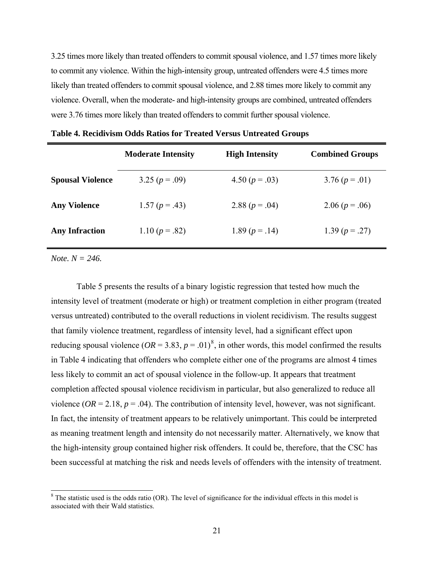<span id="page-26-0"></span>3.25 times more likely than treated offenders to commit spousal violence, and 1.57 times more likely to commit any violence. Within the high-intensity group, untreated offenders were 4.5 times more likely than treated offenders to commit spousal violence, and 2.88 times more likely to commit any violence. Overall, when the moderate- and high-intensity groups are combined, untreated offenders were 3.76 times more likely than treated offenders to commit further spousal violence.

|                         | <b>Moderate Intensity</b> | <b>High Intensity</b> | <b>Combined Groups</b> |
|-------------------------|---------------------------|-----------------------|------------------------|
| <b>Spousal Violence</b> | 3.25 ( $p = .09$ )        | 4.50 $(p=.03)$        | $3.76 (p=.01)$         |
| <b>Any Violence</b>     | 1.57 $(p=.43)$            | 2.88 ( $p = .04$ )    | 2.06 $(p=.06)$         |
| <b>Any Infraction</b>   | 1.10 $(p=.82)$            | 1.89 $(p=.14)$        | 1.39 $(p = .27)$       |

**Table 4. Recidivism Odds Ratios for Treated Versus Untreated Groups** 

*Note. N = 246.* 

 $\overline{a}$ 

Table 5 presents the results of a binary logistic regression that tested how much the intensity level of treatment (moderate or high) or treatment completion in either program (treated versus untreated) contributed to the overall reductions in violent recidivism. The results suggest that family violence treatment, regardless of intensity level, had a significant effect upon reducing spousal violence  $(OR = 3.83, p = .01)^8$  $(OR = 3.83, p = .01)^8$  $(OR = 3.83, p = .01)^8$ , in other words, this model confirmed the results in Table 4 indicating that offenders who complete either one of the programs are almost 4 times less likely to commit an act of spousal violence in the follow-up. It appears that treatment completion affected spousal violence recidivism in particular, but also generalized to reduce all violence ( $OR = 2.18$ ,  $p = .04$ ). The contribution of intensity level, however, was not significant. In fact, the intensity of treatment appears to be relatively unimportant. This could be interpreted as meaning treatment length and intensity do not necessarily matter. Alternatively, we know that the high-intensity group contained higher risk offenders. It could be, therefore, that the CSC has been successful at matching the risk and needs levels of offenders with the intensity of treatment.

<span id="page-26-1"></span> $8$  The statistic used is the odds ratio (OR). The level of significance for the individual effects in this model is associated with their Wald statistics.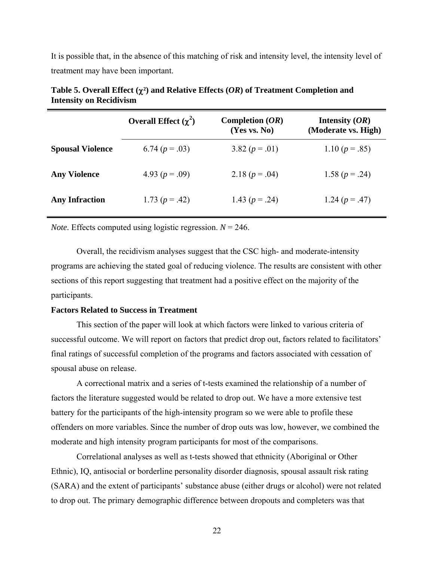<span id="page-27-0"></span>It is possible that, in the absence of this matching of risk and intensity level, the intensity level of treatment may have been important.

|                         | Overall Effect $(\gamma^2)$ | Completion $(OR)$<br>(Yes vs. No) | Intensity $(OR)$<br>(Moderate vs. High) |
|-------------------------|-----------------------------|-----------------------------------|-----------------------------------------|
| <b>Spousal Violence</b> | 6.74 $(p=.03)$              | 3.82 $(p=.01)$                    | 1.10 $(p=.85)$                          |
| <b>Any Violence</b>     | 4.93 ( $p = .09$ )          | 2.18 $(p=.04)$                    | 1.58 $(p=.24)$                          |
| <b>Any Infraction</b>   | 1.73 $(p=.42)$              | 1.43 ( $p = .24$ )                | 1.24 $(p = .47)$                        |

| Table 5. Overall Effect $(\chi^2)$ and Relative Effects $(OR)$ of Treatment Completion and |  |
|--------------------------------------------------------------------------------------------|--|
| <b>Intensity on Recidivism</b>                                                             |  |

*Note.* Effects computed using logistic regression.  $N = 246$ .

 Overall, the recidivism analyses suggest that the CSC high- and moderate-intensity programs are achieving the stated goal of reducing violence. The results are consistent with other sections of this report suggesting that treatment had a positive effect on the majority of the participants.

#### **Factors Related to Success in Treatment**

This section of the paper will look at which factors were linked to various criteria of successful outcome. We will report on factors that predict drop out, factors related to facilitators' final ratings of successful completion of the programs and factors associated with cessation of spousal abuse on release.

A correctional matrix and a series of t-tests examined the relationship of a number of factors the literature suggested would be related to drop out. We have a more extensive test battery for the participants of the high-intensity program so we were able to profile these offenders on more variables. Since the number of drop outs was low, however, we combined the moderate and high intensity program participants for most of the comparisons.

Correlational analyses as well as t-tests showed that ethnicity (Aboriginal or Other Ethnic), IQ, antisocial or borderline personality disorder diagnosis, spousal assault risk rating (SARA) and the extent of participants' substance abuse (either drugs or alcohol) were not related to drop out. The primary demographic difference between dropouts and completers was that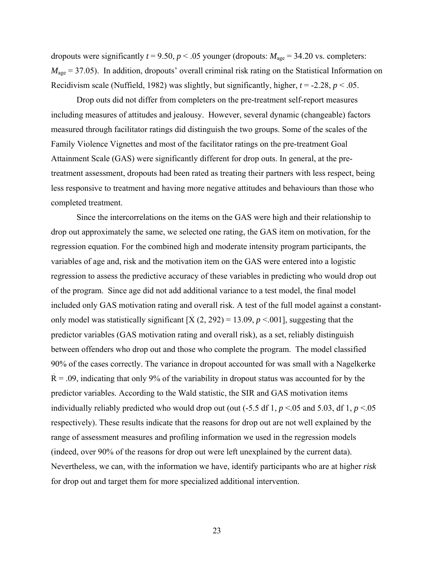dropouts were significantly  $t = 9.50$ ,  $p < .05$  younger (dropouts:  $M_{\text{age}} = 34.20$  vs. completers:  $M_{\text{age}}$  = 37.05). In addition, dropouts' overall criminal risk rating on the Statistical Information on Recidivism scale (Nuffield, 1982) was slightly, but significantly, higher,  $t = -2.28$ ,  $p < .05$ .

Drop outs did not differ from completers on the pre-treatment self-report measures including measures of attitudes and jealousy. However, several dynamic (changeable) factors measured through facilitator ratings did distinguish the two groups. Some of the scales of the Family Violence Vignettes and most of the facilitator ratings on the pre-treatment Goal Attainment Scale (GAS) were significantly different for drop outs. In general, at the pretreatment assessment, dropouts had been rated as treating their partners with less respect, being less responsive to treatment and having more negative attitudes and behaviours than those who completed treatment.

Since the intercorrelations on the items on the GAS were high and their relationship to drop out approximately the same, we selected one rating, the GAS item on motivation, for the regression equation. For the combined high and moderate intensity program participants, the variables of age and, risk and the motivation item on the GAS were entered into a logistic regression to assess the predictive accuracy of these variables in predicting who would drop out of the program. Since age did not add additional variance to a test model, the final model included only GAS motivation rating and overall risk. A test of the full model against a constantonly model was statistically significant  $[\hat{X}(2, 292) = 13.09, p \le 0.001]$ , suggesting that the predictor variables (GAS motivation rating and overall risk), as a set, reliably distinguish between offenders who drop out and those who complete the program. The model classified 90% of the cases correctly. The variance in dropout accounted for was small with a Nagelkerke  $\dot{R} = .09$ , indicating that only 9% of the variability in dropout status was accounted for by the predictor variables. According to the Wald statistic, the SIR and GAS motivation items individually reliably predicted who would drop out (out  $(-5.5 \text{ df } 1, p < 0.05 \text{ and } 5.03, \text{ df } 1, p < 0.05 \text{ and } 5.03$ ) respectively). These results indicate that the reasons for drop out are not well explained by the range of assessment measures and profiling information we used in the regression models (indeed, over 90% of the reasons for drop out were left unexplained by the current data). Nevertheless, we can, with the information we have, identify participants who are at higher *risk* for drop out and target them for more specialized additional intervention.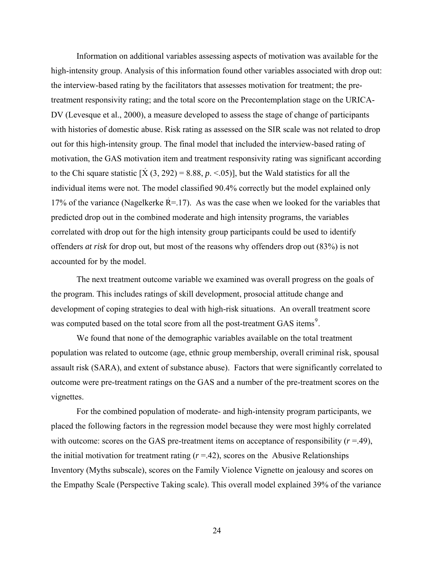Information on additional variables assessing aspects of motivation was available for the high-intensity group. Analysis of this information found other variables associated with drop out: the interview-based rating by the facilitators that assesses motivation for treatment; the pretreatment responsivity rating; and the total score on the Precontemplation stage on the URICA-DV (Levesque et al., 2000), a measure developed to assess the stage of change of participants with histories of domestic abuse. Risk rating as assessed on the SIR scale was not related to drop out for this high-intensity group. The final model that included the interview-based rating of motivation, the GAS motivation item and treatment responsivity rating was significant according to the Chi square statistic  $[X (3, 292) = 8.88, p. < 0.05]$ , but the Wald statistics for all the individual items were not. The model classified 90.4% correctly but the model explained only 17% of the variance (Nagelkerke  $R = 17$ ). As was the case when we looked for the variables that predicted drop out in the combined moderate and high intensity programs, the variables correlated with drop out for the high intensity group participants could be used to identify offenders *at risk* for drop out, but most of the reasons why offenders drop out (83%) is not accounted for by the model.

 The next treatment outcome variable we examined was overall progress on the goals of the program. This includes ratings of skill development, prosocial attitude change and development of coping strategies to deal with high-risk situations. An overall treatment score was computed based on the total score from all the post-treatment GAS items<sup>[9](#page-29-0)</sup>.

We found that none of the demographic variables available on the total treatment population was related to outcome (age, ethnic group membership, overall criminal risk, spousal assault risk (SARA), and extent of substance abuse). Factors that were significantly correlated to outcome were pre-treatment ratings on the GAS and a number of the pre-treatment scores on the vignettes.

<span id="page-29-0"></span>For the combined population of moderate- and high-intensity program participants, we placed the following factors in the regression model because they were most highly correlated with outcome: scores on the GAS pre-treatment items on acceptance of responsibility  $(r = .49)$ , the initial motivation for treatment rating  $(r = .42)$ , scores on the Abusive Relationships Inventory (Myths subscale), scores on the Family Violence Vignette on jealousy and scores on the Empathy Scale (Perspective Taking scale). This overall model explained 39% of the variance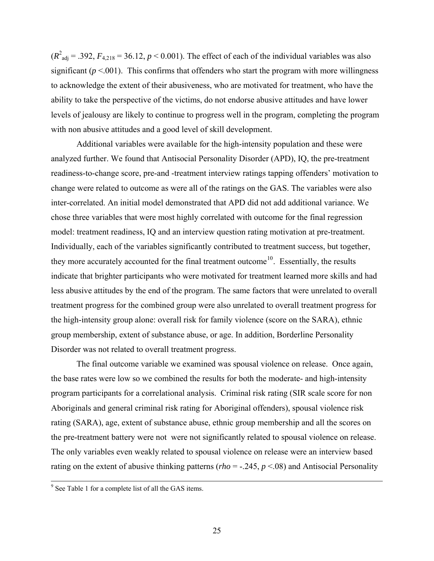$(R<sup>2</sup><sub>adj</sub> = .392, F<sub>4,218</sub> = 36.12, p < 0.001)$ . The effect of each of the individual variables was also significant ( $p \le 0.001$ ). This confirms that offenders who start the program with more willingness to acknowledge the extent of their abusiveness, who are motivated for treatment, who have the ability to take the perspective of the victims, do not endorse abusive attitudes and have lower levels of jealousy are likely to continue to progress well in the program, completing the program with non abusive attitudes and a good level of skill development.

 Additional variables were available for the high-intensity population and these were analyzed further. We found that Antisocial Personality Disorder (APD), IQ, the pre-treatment readiness-to-change score, pre-and -treatment interview ratings tapping offenders' motivation to change were related to outcome as were all of the ratings on the GAS. The variables were also inter-correlated. An initial model demonstrated that APD did not add additional variance. We chose three variables that were most highly correlated with outcome for the final regression model: treatment readiness, IQ and an interview question rating motivation at pre-treatment. Individually, each of the variables significantly contributed to treatment success, but together, they more accurately accounted for the final treatment outcome<sup>[10](#page-30-0)</sup>. Essentially, the results indicate that brighter participants who were motivated for treatment learned more skills and had less abusive attitudes by the end of the program. The same factors that were unrelated to overall treatment progress for the combined group were also unrelated to overall treatment progress for the high-intensity group alone: overall risk for family violence (score on the SARA), ethnic group membership, extent of substance abuse, or age. In addition, Borderline Personality Disorder was not related to overall treatment progress.

 The final outcome variable we examined was spousal violence on release. Once again, the base rates were low so we combined the results for both the moderate- and high-intensity program participants for a correlational analysis. Criminal risk rating (SIR scale score for non Aboriginals and general criminal risk rating for Aboriginal offenders), spousal violence risk rating (SARA), age, extent of substance abuse, ethnic group membership and all the scores on the pre-treatment battery were not were not significantly related to spousal violence on release. The only variables even weakly related to spousal violence on release were an interview based rating on the extent of abusive thinking patterns ( $rho = -.245$ ,  $p < .08$ ) and Antisocial Personality

<span id="page-30-0"></span> $9^9$  See Table 1 for a complete list of all the GAS items.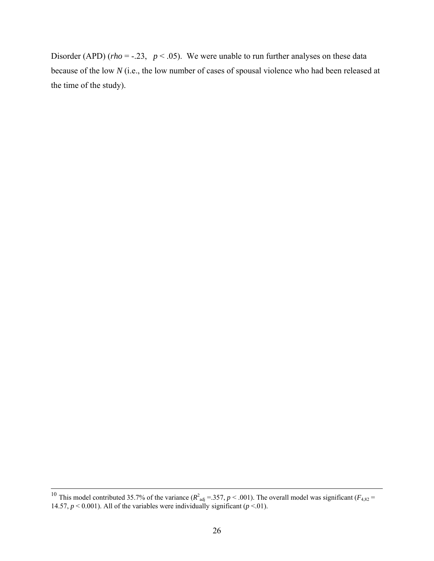Disorder (APD) ( $rho = -.23$ ,  $p < .05$ ). We were unable to run further analyses on these data because of the low *N* (i.e., the low number of cases of spousal violence who had been released at the time of the study).

 $\overline{a}$ 

<sup>&</sup>lt;sup>10</sup> This model contributed 35.7% of the variance ( $R^2_{adj}$  = .357,  $p$  < .001). The overall model was significant ( $F_{4,82}$  = 14.57,  $p < 0.001$ ). All of the variables were individually significant ( $p < 01$ ).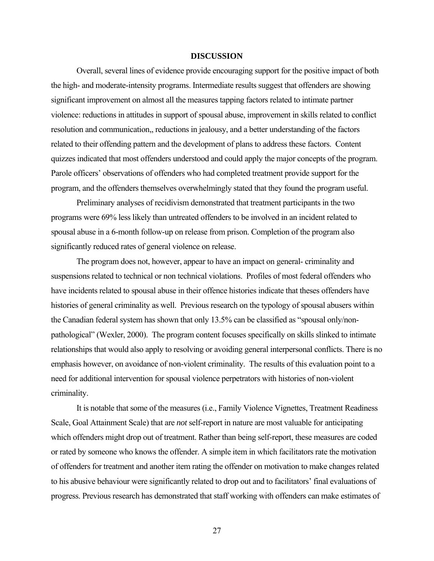#### **DISCUSSION**

<span id="page-32-0"></span>Overall, several lines of evidence provide encouraging support for the positive impact of both the high- and moderate-intensity programs. Intermediate results suggest that offenders are showing significant improvement on almost all the measures tapping factors related to intimate partner violence: reductions in attitudes in support of spousal abuse, improvement in skills related to conflict resolution and communication,, reductions in jealousy, and a better understanding of the factors related to their offending pattern and the development of plans to address these factors. Content quizzes indicated that most offenders understood and could apply the major concepts of the program. Parole officers' observations of offenders who had completed treatment provide support for the program, and the offenders themselves overwhelmingly stated that they found the program useful.

Preliminary analyses of recidivism demonstrated that treatment participants in the two programs were 69% less likely than untreated offenders to be involved in an incident related to spousal abuse in a 6-month follow-up on release from prison. Completion of the program also significantly reduced rates of general violence on release.

The program does not, however, appear to have an impact on general- criminality and suspensions related to technical or non technical violations. Profiles of most federal offenders who have incidents related to spousal abuse in their offence histories indicate that theses offenders have histories of general criminality as well. Previous research on the typology of spousal abusers within the Canadian federal system has shown that only 13.5% can be classified as "spousal only/nonpathological" (Wexler, 2000). The program content focuses specifically on skills slinked to intimate relationships that would also apply to resolving or avoiding general interpersonal conflicts. There is no emphasis however, on avoidance of non-violent criminality. The results of this evaluation point to a need for additional intervention for spousal violence perpetrators with histories of non-violent criminality.

It is notable that some of the measures (i.e., Family Violence Vignettes, Treatment Readiness Scale, Goal Attainment Scale) that are *not* self-report in nature are most valuable for anticipating which offenders might drop out of treatment. Rather than being self-report, these measures are coded or rated by someone who knows the offender. A simple item in which facilitators rate the motivation of offenders for treatment and another item rating the offender on motivation to make changes related to his abusive behaviour were significantly related to drop out and to facilitators' final evaluations of progress. Previous research has demonstrated that staff working with offenders can make estimates of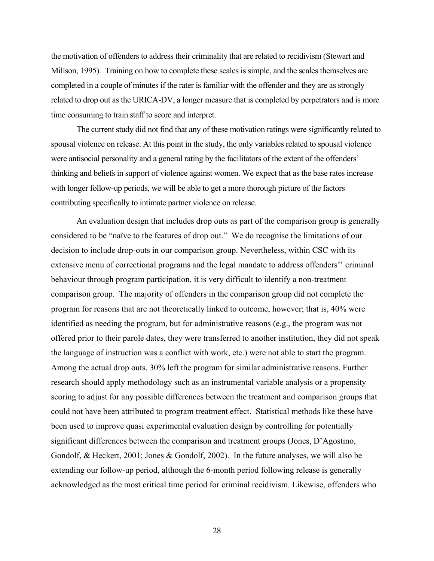the motivation of offenders to address their criminality that are related to recidivism (Stewart and Millson, 1995). Training on how to complete these scales is simple, and the scales themselves are completed in a couple of minutes if the rater is familiar with the offender and they are as strongly related to drop out as the URICA-DV, a longer measure that is completed by perpetrators and is more time consuming to train staff to score and interpret.

The current study did not find that any of these motivation ratings were significantly related to spousal violence on release. At this point in the study, the only variables related to spousal violence were antisocial personality and a general rating by the facilitators of the extent of the offenders' thinking and beliefs in support of violence against women. We expect that as the base rates increase with longer follow-up periods, we will be able to get a more thorough picture of the factors contributing specifically to intimate partner violence on release.

 An evaluation design that includes drop outs as part of the comparison group is generally considered to be "naïve to the features of drop out." We do recognise the limitations of our decision to include drop-outs in our comparison group. Nevertheless, within CSC with its extensive menu of correctional programs and the legal mandate to address offenders'' criminal behaviour through program participation, it is very difficult to identify a non-treatment comparison group. The majority of offenders in the comparison group did not complete the program for reasons that are not theoretically linked to outcome, however; that is, 40% were identified as needing the program, but for administrative reasons (e.g., the program was not offered prior to their parole dates, they were transferred to another institution, they did not speak the language of instruction was a conflict with work, etc.) were not able to start the program. Among the actual drop outs, 30% left the program for similar administrative reasons. Further research should apply methodology such as an instrumental variable analysis or a propensity scoring to adjust for any possible differences between the treatment and comparison groups that could not have been attributed to program treatment effect. Statistical methods like these have been used to improve quasi experimental evaluation design by controlling for potentially significant differences between the comparison and treatment groups (Jones, D'Agostino, Gondolf, & Heckert, 2001; Jones & Gondolf, 2002). In the future analyses, we will also be extending our follow-up period, although the 6-month period following release is generally acknowledged as the most critical time period for criminal recidivism. Likewise, offenders who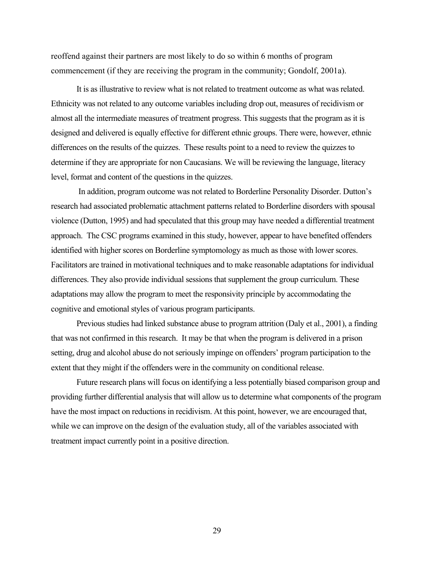reoffend against their partners are most likely to do so within 6 months of program commencement (if they are receiving the program in the community; Gondolf, 2001a).

 It is as illustrative to review what is not related to treatment outcome as what was related. Ethnicity was not related to any outcome variables including drop out, measures of recidivism or almost all the intermediate measures of treatment progress. This suggests that the program as it is designed and delivered is equally effective for different ethnic groups. There were, however, ethnic differences on the results of the quizzes. These results point to a need to review the quizzes to determine if they are appropriate for non Caucasians. We will be reviewing the language, literacy level, format and content of the questions in the quizzes.

 In addition, program outcome was not related to Borderline Personality Disorder. Dutton's research had associated problematic attachment patterns related to Borderline disorders with spousal violence (Dutton, 1995) and had speculated that this group may have needed a differential treatment approach. The CSC programs examined in this study, however, appear to have benefited offenders identified with higher scores on Borderline symptomology as much as those with lower scores. Facilitators are trained in motivational techniques and to make reasonable adaptations for individual differences. They also provide individual sessions that supplement the group curriculum. These adaptations may allow the program to meet the responsivity principle by accommodating the cognitive and emotional styles of various program participants.

Previous studies had linked substance abuse to program attrition (Daly et al., 2001), a finding that was not confirmed in this research. It may be that when the program is delivered in a prison setting, drug and alcohol abuse do not seriously impinge on offenders' program participation to the extent that they might if the offenders were in the community on conditional release.

 Future research plans will focus on identifying a less potentially biased comparison group and providing further differential analysis that will allow us to determine what components of the program have the most impact on reductions in recidivism. At this point, however, we are encouraged that, while we can improve on the design of the evaluation study, all of the variables associated with treatment impact currently point in a positive direction.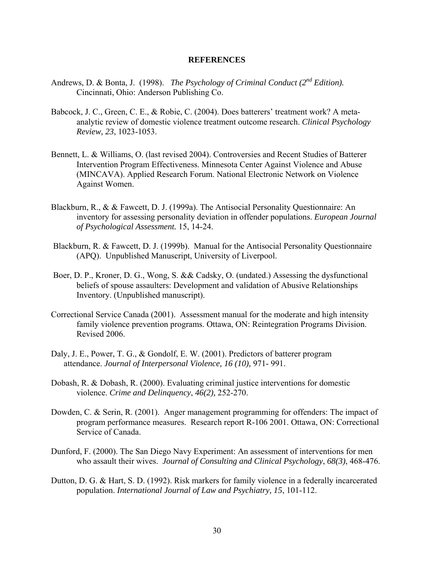### **REFERENCES**

- <span id="page-35-0"></span>Andrews, D. & Bonta, J. (1998). *The Psychology of Criminal Conduct* (2<sup>nd</sup> Edition). Cincinnati, Ohio: Anderson Publishing Co.
- Babcock, J. C., Green, C. E., & Robie, C. (2004). Does batterers' treatment work? A metaanalytic review of domestic violence treatment outcome research. *Clinical Psychology Review, 23*, 1023-1053.
- Bennett, L. & Williams, O. (last revised 2004). Controversies and Recent Studies of Batterer Intervention Program Effectiveness. Minnesota Center Against Violence and Abuse (MINCAVA). Applied Research Forum. National Electronic Network on Violence Against Women.
- Blackburn, R., & & Fawcett, D. J. (1999a). The Antisocial Personality Questionnaire: An inventory for assessing personality deviation in offender populations. *European Journal of Psychological Assessment.* 15, 14-24.
- Blackburn, R. & Fawcett, D. J. (1999b). Manual for the Antisocial Personality Questionnaire (APQ). Unpublished Manuscript, University of Liverpool.
- Boer, D. P., Kroner, D. G., Wong, S. && Cadsky, O. (undated.) Assessing the dysfunctional beliefs of spouse assaulters: Development and validation of Abusive Relationships Inventory. (Unpublished manuscript).
- Correctional Service Canada (2001). Assessment manual for the moderate and high intensity family violence prevention programs. Ottawa, ON: Reintegration Programs Division. Revised 2006.
- Daly, J. E., Power, T. G., & Gondolf, E. W. (2001). Predictors of batterer program attendance. *Journal of Interpersonal Violence, 16 (10),* 971- 991.
- Dobash, R. & Dobash, R. (2000). Evaluating criminal justice interventions for domestic violence. *Crime and Delinquency*, *46(2),* 252-270.
- Dowden, C. & Serin, R. (2001). Anger management programming for offenders: The impact of program performance measures. Research report R-106 2001. Ottawa, ON: Correctional Service of Canada.
- Dunford, F. (2000). The San Diego Navy Experiment: An assessment of interventions for men who assault their wives. *Journal of Consulting and Clinical Psychology*, *68(3)*, 468-476.
- Dutton, D. G. & Hart, S. D. (1992). Risk markers for family violence in a federally incarcerated population. *International Journal of Law and Psychiatry, 15*, 101-112.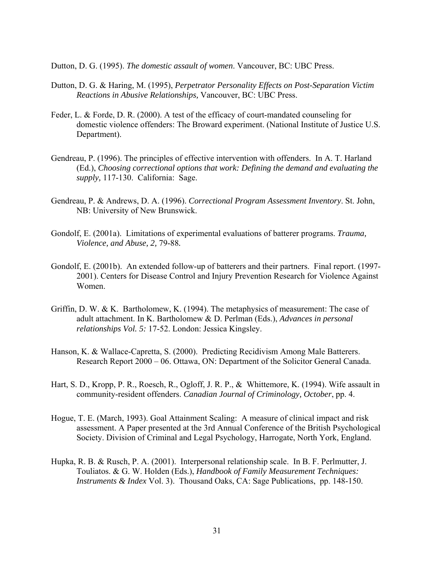Dutton, D. G. (1995). *The domestic assault of women*. Vancouver, BC: UBC Press.

- Dutton, D. G. & Haring, M. (1995), *Perpetrator Personality Effects on Post-Separation Victim Reactions in Abusive Relationships,* Vancouver, BC: UBC Press.
- Feder, L. & Forde, D. R. (2000). A test of the efficacy of court-mandated counseling for domestic violence offenders: The Broward experiment. (National Institute of Justice U.S. Department).
- Gendreau, P. (1996). The principles of effective intervention with offenders. In A. T. Harland (Ed.), *Choosing correctional options that work: Defining the demand and evaluating the supply,* 117-130. California: Sage.
- Gendreau, P. & Andrews, D. A. (1996). *Correctional Program Assessment Inventory*. St. John, NB: University of New Brunswick.
- Gondolf, E. (2001a). Limitations of experimental evaluations of batterer programs. *Trauma, Violence, and Abuse, 2,* 79-88*.*
- Gondolf, E. (2001b). An extended follow-up of batterers and their partners. Final report. (1997- 2001). Centers for Disease Control and Injury Prevention Research for Violence Against Women.
- Griffin, D. W. & K. Bartholomew, K. (1994). The metaphysics of measurement: The case of adult attachment. In K. Bartholomew & D. Perlman (Eds.), *Advances in personal relationships Vol. 5:* 17-52. London: Jessica Kingsley.
- Hanson, K. & Wallace-Capretta, S. (2000). Predicting Recidivism Among Male Batterers. Research Report 2000 – 06. Ottawa, ON: Department of the Solicitor General Canada.
- Hart, S. D., Kropp, P. R., Roesch, R., Ogloff, J. R. P., & Whittemore, K. (1994). Wife assault in community-resident offenders. *Canadian Journal of Criminology, October*, pp. 4.
- Hogue, T. E. (March, 1993). Goal Attainment Scaling: A measure of clinical impact and risk assessment. A Paper presented at the 3rd Annual Conference of the British Psychological Society. Division of Criminal and Legal Psychology, Harrogate, North York, England.
- Hupka, R. B. & Rusch, P. A. (2001). Interpersonal relationship scale. In B. F. Perlmutter, J. Touliatos. & G. W. Holden (Eds.), *Handbook of Family Measurement Techniques: Instruments & Index* Vol. 3). Thousand Oaks, CA: Sage Publications, pp. 148-150.